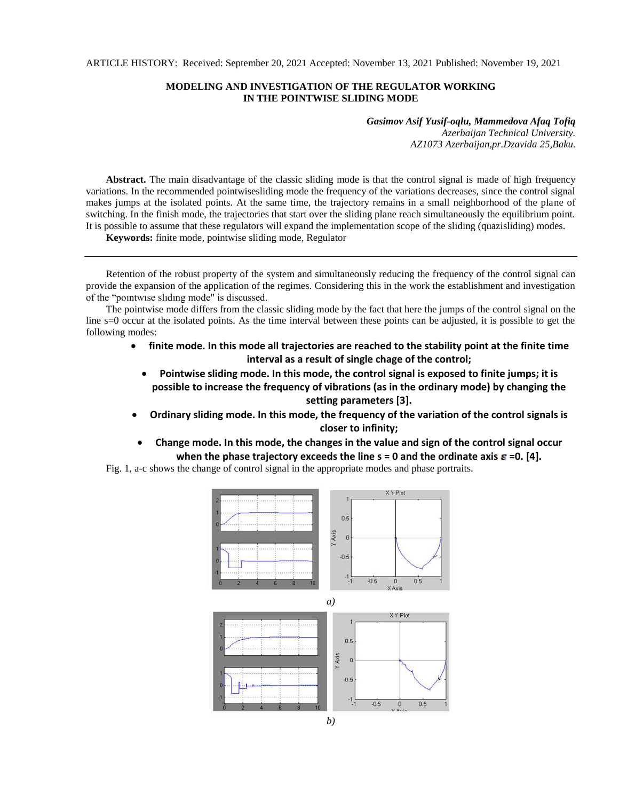ARTICLE HISTORY: Received: September 20, 2021 Accepted: November 13, 2021 Published: November 19, 2021

## **MODELING AND INVESTIGATION OF THE REGULATOR WORKING IN THE POINTWISE SLIDING MODE**

*Gasimov Asif Yusif-oqlu, Mammedova Afaq Tofiq Azerbaijan Technical University. AZ1073 Azerbaijan,pr.Dzavida 25,Baku.*

**Abstract.** The main disadvantage of the classic sliding mode is that the control signal is made of high frequency variations. In the recommended pointwisesliding mode the frequency of the variations decreases, since the control signal makes jumps at the isolated points. At the same time, the trajectory remains in a small neighborhood of the plane of switching. In the finish mode, the trajectories that start over the sliding plane reach simultaneously the equilibrium point. It is possible to assume that these regulators will expand the implementation scope of the sliding (quazisliding) modes.

**Keywords:** finite mode*,* pointwise sliding mode, Regulator

Retention of the robust property of the system and simultaneously reducing the frequency of the control signal can provide the expansion of the application of the regimes. Considering this in the work the establishment and investigation of the "poıntwıse slıdıng mode" is discussed.

The pointwise mode differs from the classic sliding mode by the fact that here the jumps of the control signal on the line s=0 occur at the isolated points. As the time interval between these points can be adjusted, it is possible to get the following modes:

- **finite mode. In this mode all trajectories are reached to the stability point at the finite time interval as a result of single chage of the control;**
	- **Pointwise sliding mode. In this mode, the control signal is exposed to finite jumps; it is possible to increase the frequency of vibrations (as in the ordinary mode) by changing the setting parameters [3].**
- **Ordinary sliding mode. In this mode, the frequency of the variation of the control signals is closer to infinity;**
- **Change mode. In this mode, the changes in the value and sign of the control signal occur**  when the phase trajectory exceeds the line  $s = 0$  and the ordinate axis  $\epsilon = 0$ . [4].

Fig. 1, a-c shows the change of control signal in the appropriate modes and phase portraits.

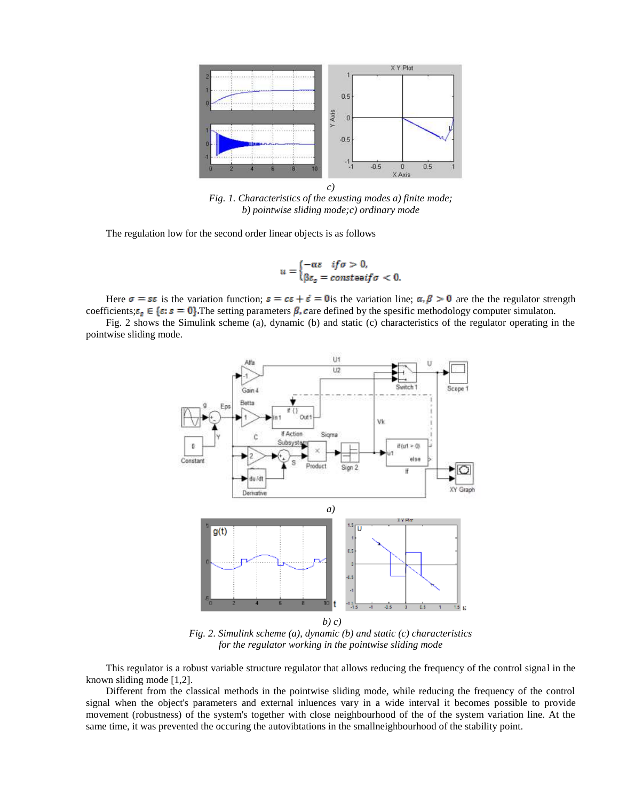

*Fig. 1. Characteristics of the exusting modes a) finite mode; b) pointwise sliding mode;c) ordinary mode*

The regulation low for the second order linear objects is as follows

$$
u = \begin{cases} -\alpha \varepsilon & \text{if } \sigma > 0, \\ \beta \varepsilon_s & \text{const } \text{seif } \sigma < 0. \end{cases}
$$

Here  $\sigma = s\epsilon$  is the variation function;  $s = c\epsilon + \epsilon = 0$  is the variation line;  $\alpha, \beta > 0$  are the the regulator strength coefficients;  $\varepsilon_s \in {\epsilon : s = 0}$ . The setting parameters  $\beta$ , care defined by the spesific methodology computer simulaton.

Fig. 2 shows the Simulink scheme (a), dynamic (b) and static (c) characteristics of the regulator operating in the pointwise sliding mode.



*Fig. 2. Simulink scheme (a), dynamic (b) and static (c) characteristics for the regulator working in the pointwise sliding mode* 

This regulator is a robust variable structure regulator that allows reducing the frequency of the control signal in the known sliding mode [1,2].

Different from the classical methods in the pointwise sliding mode, while reducing the frequency of the control signal when the object's parameters and external inluences vary in a wide interval it becomes possible to provide movement (robustness) of the system's together with close neighbourhood of the of the system variation line. At the same time, it was prevented the occuring the autovibtations in the smallneighbourhood of the stability point.